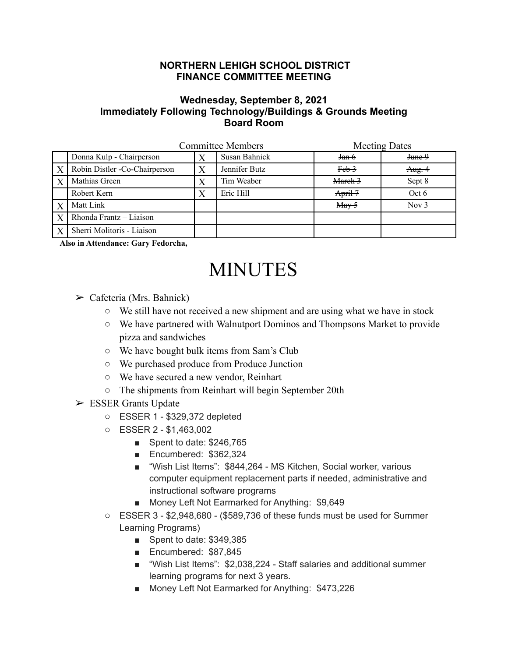## **NORTHERN LEHIGH SCHOOL DISTRICT FINANCE COMMITTEE MEETING**

## **Wednesday, September 8, 2021 Immediately Following Technology/Buildings & Grounds Meeting Board Room**

|                  | <b>Committee Members</b>      |   |               | <b>Meeting Dates</b>                |         |
|------------------|-------------------------------|---|---------------|-------------------------------------|---------|
|                  | Donna Kulp - Chairperson      |   | Susan Bahnick | <del>Jan 6</del>                    | June 9  |
| $\boldsymbol{X}$ | Robin Distler -Co-Chairperson |   | Jennifer Butz | $Feb$ <sup>3</sup>                  | Aug.4   |
| X                | Mathias Green                 | Χ | Tim Weaber    | March 3                             | Sept 8  |
|                  | Robert Kern                   |   | Eric Hill     | April-7                             | Oct 6   |
| X                | Matt Link                     |   |               | $\frac{\text{May-5}}{\text{May-5}}$ | Nov $3$ |
| $\overline{X}$   | Rhonda Frantz - Liaison       |   |               |                                     |         |
| X                | Sherri Molitoris - Liaison    |   |               |                                     |         |

**Also in Attendance: Gary Fedorcha,**

## MINUTES

- $\triangleright$  Cafeteria (Mrs. Bahnick)
	- We still have not received a new shipment and are using what we have in stock
	- We have partnered with Walnutport Dominos and Thompsons Market to provide pizza and sandwiches
	- We have bought bulk items from Sam's Club
	- We purchased produce from Produce Junction
	- We have secured a new vendor, Reinhart
	- The shipments from Reinhart will begin September 20th
- $\triangleright$  ESSER Grants Update
	- ESSER 1 \$329,372 depleted
	- ESSER 2 \$1,463,002
		- Spent to date: \$246,765
		- Encumbered: \$362,324
		- "Wish List Items": \$844,264 MS Kitchen, Social worker, various computer equipment replacement parts if needed, administrative and instructional software programs
		- Money Left Not Earmarked for Anything: \$9,649
	- ESSER 3 \$2,948,680 (\$589,736 of these funds must be used for Summer Learning Programs)
		- Spent to date: \$349,385
		- Encumbered: \$87,845
		- "Wish List Items": \$2,038,224 Staff salaries and additional summer learning programs for next 3 years.
		- Money Left Not Earmarked for Anything: \$473,226